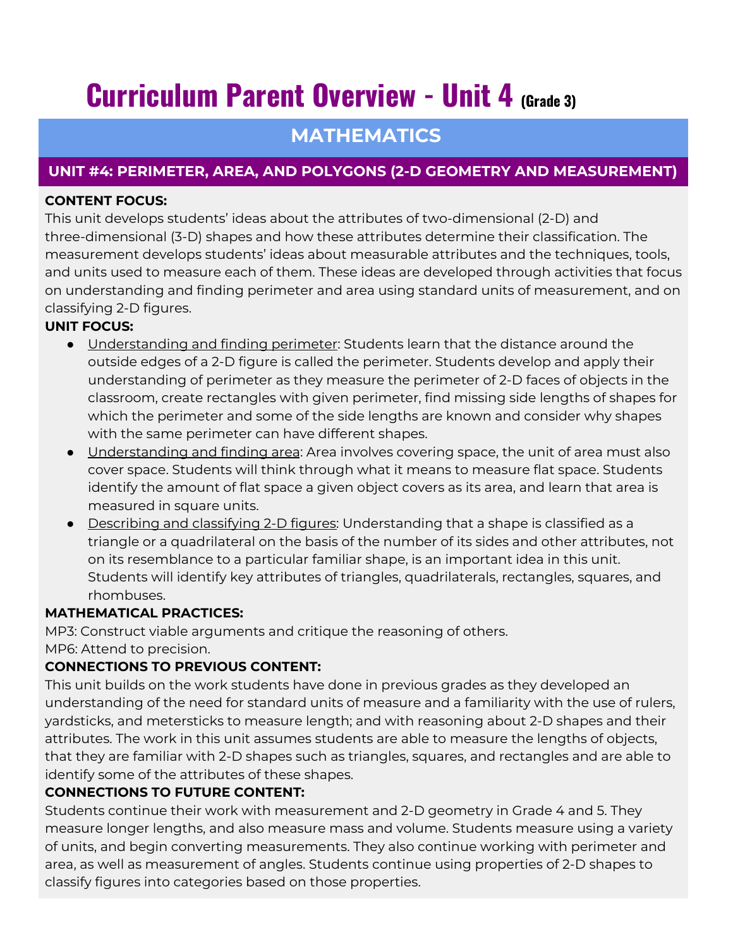# **Curriculum Parent Overview - Unit 4 (Grade 3)**

## **MATHEMATICS**

### **UNIT #4: PERIMETER, AREA, AND POLYGONS (2-D GEOMETRY AND MEASUREMENT)**

#### **CONTENT FOCUS:**

This unit develops students' ideas about the attributes of two-dimensional (2-D) and three-dimensional (3-D) shapes and how these attributes determine their classification. The measurement develops students' ideas about measurable attributes and the techniques, tools, and units used to measure each of them. These ideas are developed through activities that focus on understanding and finding perimeter and area using standard units of measurement, and on classifying 2-D figures.

#### **UNIT FOCUS:**

- Understanding and finding perimeter: Students learn that the distance around the outside edges of a 2-D figure is called the perimeter. Students develop and apply their understanding of perimeter as they measure the perimeter of 2-D faces of objects in the classroom, create rectangles with given perimeter, find missing side lengths of shapes for which the perimeter and some of the side lengths are known and consider why shapes with the same perimeter can have different shapes.
- <u>Understanding and finding area</u>: Area involves covering space, the unit of area must also cover space. Students will think through what it means to measure flat space. Students identify the amount of flat space a given object covers as its area, and learn that area is measured in square units.
- Describing and classifying 2-D figures: Understanding that a shape is classified as a triangle or a quadrilateral on the basis of the number of its sides and other attributes, not on its resemblance to a particular familiar shape, is an important idea in this unit. Students will identify key attributes of triangles, quadrilaterals, rectangles, squares, and rhombuses.

#### **MATHEMATICAL PRACTICES:**

MP3: Construct viable arguments and critique the reasoning of others. MP6: Attend to precision.

#### **CONNECTIONS TO PREVIOUS CONTENT:**

This unit builds on the work students have done in previous grades as they developed an understanding of the need for standard units of measure and a familiarity with the use of rulers, yardsticks, and metersticks to measure length; and with reasoning about 2-D shapes and their attributes. The work in this unit assumes students are able to measure the lengths of objects, that they are familiar with 2-D shapes such as triangles, squares, and rectangles and are able to identify some of the attributes of these shapes.

#### **CONNECTIONS TO FUTURE CONTENT:**

Students continue their work with measurement and 2-D geometry in Grade 4 and 5. They measure longer lengths, and also measure mass and volume. Students measure using a variety of units, and begin converting measurements. They also continue working with perimeter and area, as well as measurement of angles. Students continue using properties of 2-D shapes to classify figures into categories based on those properties.